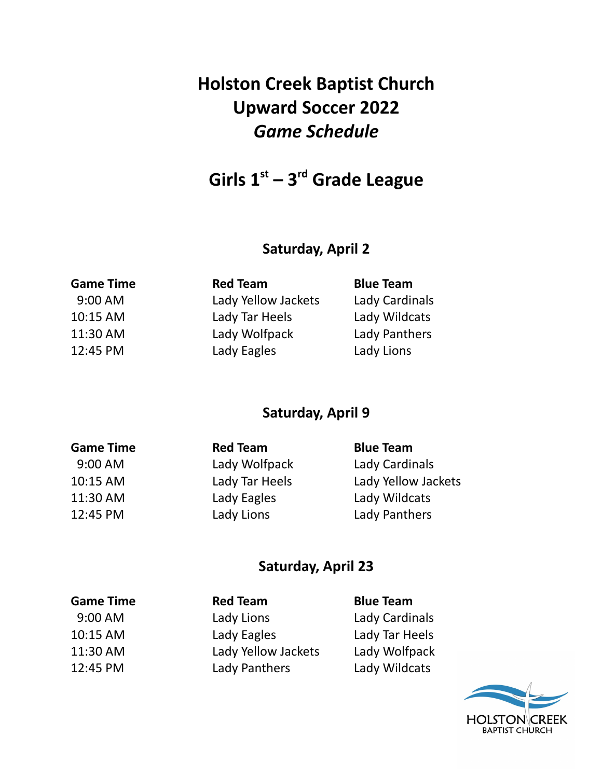# **Holston Creek Baptist Church Upward Soccer 2022** *Game Schedule*

**Girls 1 st – 3 rd Grade League**

# **Saturday, April 2**

| <b>Red Team</b>     | <b>Blue Team</b> |
|---------------------|------------------|
| Lady Yellow Jackets | Lady Cardinals   |
| Lady Tar Heels      | Lady Wildcats    |
| Lady Wolfpack       | Lady Panthers    |
| Lady Eagles         | Lady Lions       |
|                     |                  |

# **Saturday, April 9**

| <b>Game Time</b> | <b>Red Team</b> | <b>Blue Team</b>    |
|------------------|-----------------|---------------------|
| $9:00$ AM        | Lady Wolfpack   | Lady Cardinals      |
| 10:15 AM         | Lady Tar Heels  | Lady Yellow Jackets |
| 11:30 AM         | Lady Eagles     | Lady Wildcats       |
| 12:45 PM         | Lady Lions      | Lady Panthers       |

#### **Saturday, April 23**

| <b>Game Time</b> | <b>Red Team</b>     | <b>Blue Team</b> |
|------------------|---------------------|------------------|
| 9:00 AM          | Lady Lions          | Lady Cardinals   |
| 10:15 AM         | Lady Eagles         | Lady Tar Heels   |
| 11:30 AM         | Lady Yellow Jackets | Lady Wolfpack    |
| 12:45 PM         | Lady Panthers       | Lady Wildcats    |